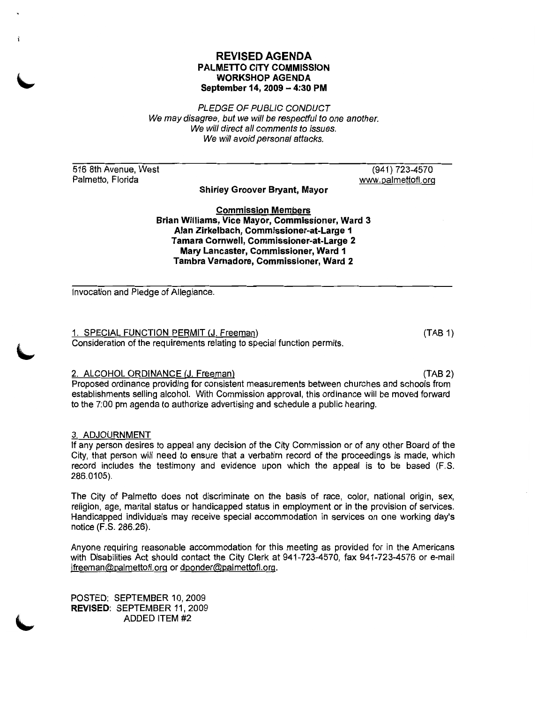### REVISED AGENDA PALMETTO CITY COMMISSION WORKSHOP AGENDA September 14, 2009 - 4:30 PM

PLEDGE OF PUBLIC CONDUCT We may disagree, but we will be respectful to one another. We will direct all comments to issues. We will avoid personal attacks.

516 8th Avenue, West Palmetto, Florida

(941) 723-4570 www.palmettofl.org

Shirley Groover Brvant, Mayor

Commission Members Brian Williams, Vice Mavor, Commissioner, Ward 3 Alan Zirkelbach, Commissioner-at-Large 1 Tamara Cornwell, Commissioner-at-Large 2 Mary Lancaster, Commissioner, Ward 1 Tambra Varnadore, Commissioner, Ward 2

Invocation and Pledge of Allegiance.

1. SPECIAL FUNCTION PERMIT (J. Freeman) Consideration of the requirements relating to special function permits

 $(TAB 1)$ 

# 2. ALCOHOL ORDINANCE (J. Freeman) (TAB 2)

Proposed ordinance providing for consistent measurements between churches and schools from establishments selling alcohol. With Commission approval, this ordinance will be moved forward to the 7:00 pm agenda to authorize advertising and schedule a public hearing.

# 3. ADJOURNMENT

If any person desires to appeal any decision of the City Commission or of any other Board of the City, that person will need to ensure that a verbatim record of the proceedings is made, which record includes the testimony and evidence upon which the appeal is to be based (F.S. 286.0105).

The City of Palmetto does not discriminate on the basis of race, color, national origin, sex, religion, age, marital status or handicapped status in employment or in the provision of services. Handicapped individuals may receive special accommodation in services on one working day's notice (F.S. 286.26).

Anyone requiring reasonable accommodation for this meeting as provided for in the Americans with Disabilities Act should contact the City Clerk at 941-723-4570, fax 941-723-4576 or e-mail ifreeman@palmettofl.org or dponder@palmettofl.org.

POSTED: SEPTEMBER 10, 2009 REVISED: SEPTEMBER 11, 2009 ADDED ITEM #2